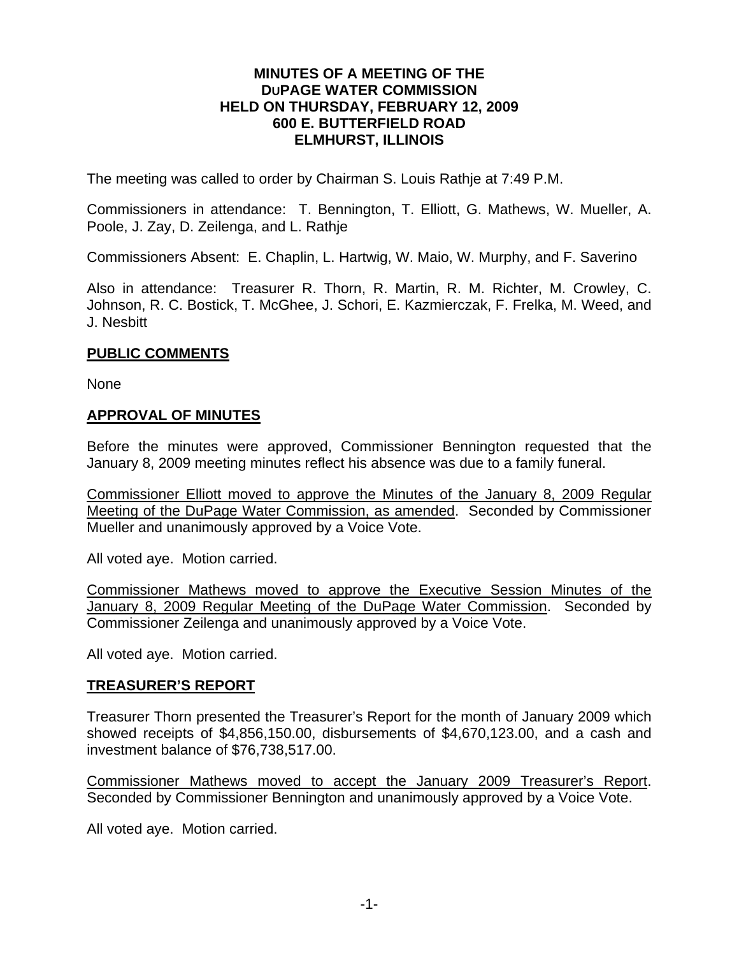#### **MINUTES OF A MEETING OF THE DUPAGE WATER COMMISSION HELD ON THURSDAY, FEBRUARY 12, 2009 600 E. BUTTERFIELD ROAD ELMHURST, ILLINOIS**

The meeting was called to order by Chairman S. Louis Rathje at 7:49 P.M.

Commissioners in attendance: T. Bennington, T. Elliott, G. Mathews, W. Mueller, A. Poole, J. Zay, D. Zeilenga, and L. Rathje

Commissioners Absent: E. Chaplin, L. Hartwig, W. Maio, W. Murphy, and F. Saverino

Also in attendance: Treasurer R. Thorn, R. Martin, R. M. Richter, M. Crowley, C. Johnson, R. C. Bostick, T. McGhee, J. Schori, E. Kazmierczak, F. Frelka, M. Weed, and J. Nesbitt

## **PUBLIC COMMENTS**

None

#### **APPROVAL OF MINUTES**

Before the minutes were approved, Commissioner Bennington requested that the January 8, 2009 meeting minutes reflect his absence was due to a family funeral.

Commissioner Elliott moved to approve the Minutes of the January 8, 2009 Regular Meeting of the DuPage Water Commission, as amended. Seconded by Commissioner Mueller and unanimously approved by a Voice Vote.

All voted aye. Motion carried.

Commissioner Mathews moved to approve the Executive Session Minutes of the January 8, 2009 Regular Meeting of the DuPage Water Commission. Seconded by Commissioner Zeilenga and unanimously approved by a Voice Vote.

All voted aye. Motion carried.

## **TREASURER'S REPORT**

Treasurer Thorn presented the Treasurer's Report for the month of January 2009 which showed receipts of \$4,856,150.00, disbursements of \$4,670,123.00, and a cash and investment balance of \$76,738,517.00.

Commissioner Mathews moved to accept the January 2009 Treasurer's Report. Seconded by Commissioner Bennington and unanimously approved by a Voice Vote.

All voted aye. Motion carried.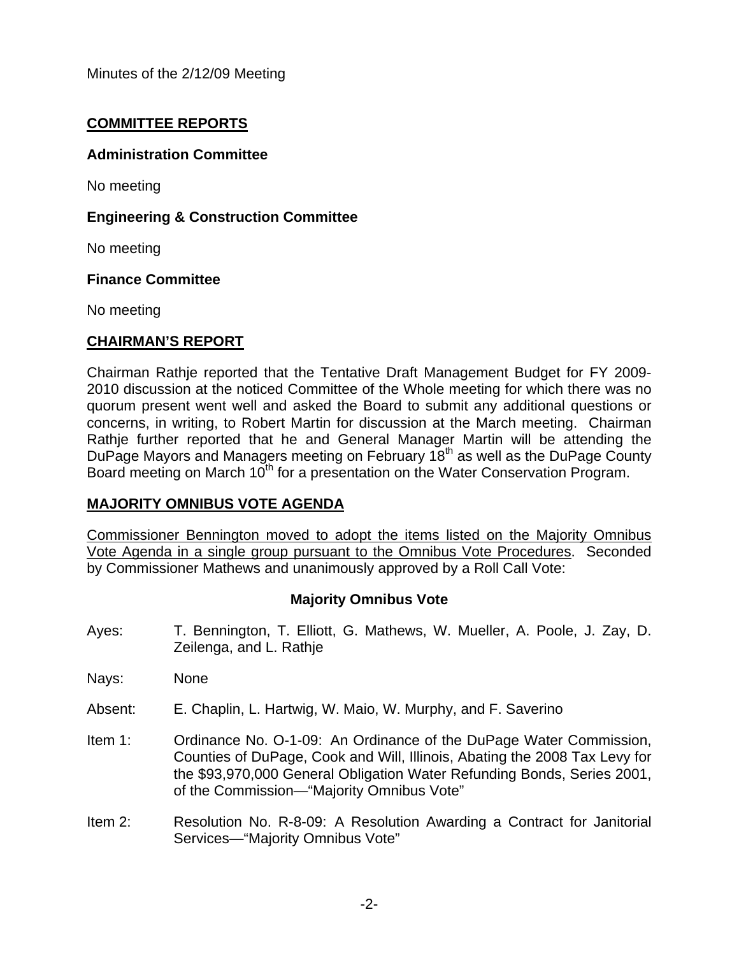## **COMMITTEE REPORTS**

## **Administration Committee**

No meeting

## **Engineering & Construction Committee**

No meeting

#### **Finance Committee**

No meeting

## **CHAIRMAN'S REPORT**

Chairman Rathje reported that the Tentative Draft Management Budget for FY 2009- 2010 discussion at the noticed Committee of the Whole meeting for which there was no quorum present went well and asked the Board to submit any additional questions or concerns, in writing, to Robert Martin for discussion at the March meeting. Chairman Rathje further reported that he and General Manager Martin will be attending the DuPage Mayors and Managers meeting on February 18<sup>th</sup> as well as the DuPage County Board meeting on March 10<sup>th</sup> for a presentation on the Water Conservation Program.

## **MAJORITY OMNIBUS VOTE AGENDA**

Commissioner Bennington moved to adopt the items listed on the Majority Omnibus Vote Agenda in a single group pursuant to the Omnibus Vote Procedures. Seconded by Commissioner Mathews and unanimously approved by a Roll Call Vote:

## **Majority Omnibus Vote**

Ayes: T. Bennington, T. Elliott, G. Mathews, W. Mueller, A. Poole, J. Zay, D. Zeilenga, and L. Rathje

Nays: None

- Absent: E. Chaplin, L. Hartwig, W. Maio, W. Murphy, and F. Saverino
- Item 1: Ordinance No. O-1-09: An Ordinance of the DuPage Water Commission, Counties of DuPage, Cook and Will, Illinois, Abating the 2008 Tax Levy for the \$93,970,000 General Obligation Water Refunding Bonds, Series 2001, of the Commission—"Majority Omnibus Vote"
- Item 2: Resolution No. R-8-09: A Resolution Awarding a Contract for Janitorial Services—"Majority Omnibus Vote"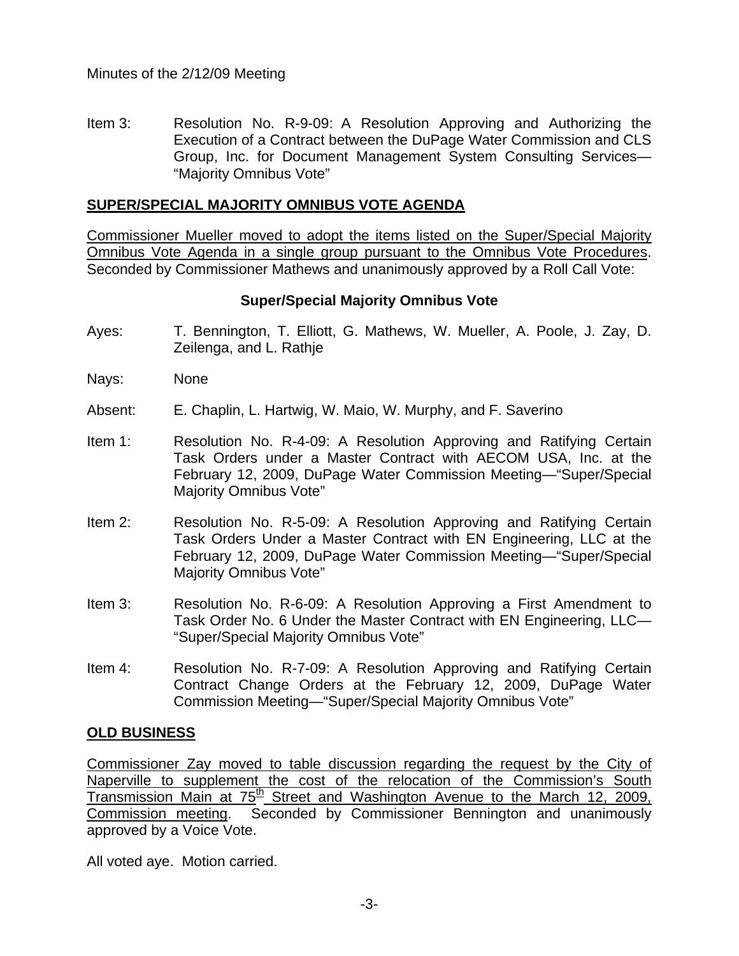Item 3: Resolution No. R-9-09: A Resolution Approving and Authorizing the Execution of a Contract between the DuPage Water Commission and CLS Group, Inc. for Document Management System Consulting Services— "Majority Omnibus Vote"

#### **SUPER/SPECIAL MAJORITY OMNIBUS VOTE AGENDA**

Commissioner Mueller moved to adopt the items listed on the Super/Special Majority Omnibus Vote Agenda in a single group pursuant to the Omnibus Vote Procedures. Seconded by Commissioner Mathews and unanimously approved by a Roll Call Vote:

#### **Super/Special Majority Omnibus Vote**

- Ayes: T. Bennington, T. Elliott, G. Mathews, W. Mueller, A. Poole, J. Zay, D. Zeilenga, and L. Rathje
- Nays: None
- Absent: E. Chaplin, L. Hartwig, W. Maio, W. Murphy, and F. Saverino
- Item 1: Resolution No. R-4-09: A Resolution Approving and Ratifying Certain Task Orders under a Master Contract with AECOM USA, Inc. at the February 12, 2009, DuPage Water Commission Meeting—"Super/Special Majority Omnibus Vote"
- Item 2: Resolution No. R-5-09: A Resolution Approving and Ratifying Certain Task Orders Under a Master Contract with EN Engineering, LLC at the February 12, 2009, DuPage Water Commission Meeting—"Super/Special Majority Omnibus Vote"
- Item 3: Resolution No. R-6-09: A Resolution Approving a First Amendment to Task Order No. 6 Under the Master Contract with EN Engineering, LLC— "Super/Special Majority Omnibus Vote"
- Item 4: Resolution No. R-7-09: A Resolution Approving and Ratifying Certain Contract Change Orders at the February 12, 2009, DuPage Water Commission Meeting—"Super/Special Majority Omnibus Vote"

#### **OLD BUSINESS**

Commissioner Zay moved to table discussion regarding the request by the City of Naperville to supplement the cost of the relocation of the Commission's South Transmission Main at  $75<sup>th</sup>$  Street and Washington Avenue to the March 12, 2009, Commission meeting. Seconded by Commissioner Bennington and unanimously approved by a Voice Vote.

All voted aye. Motion carried.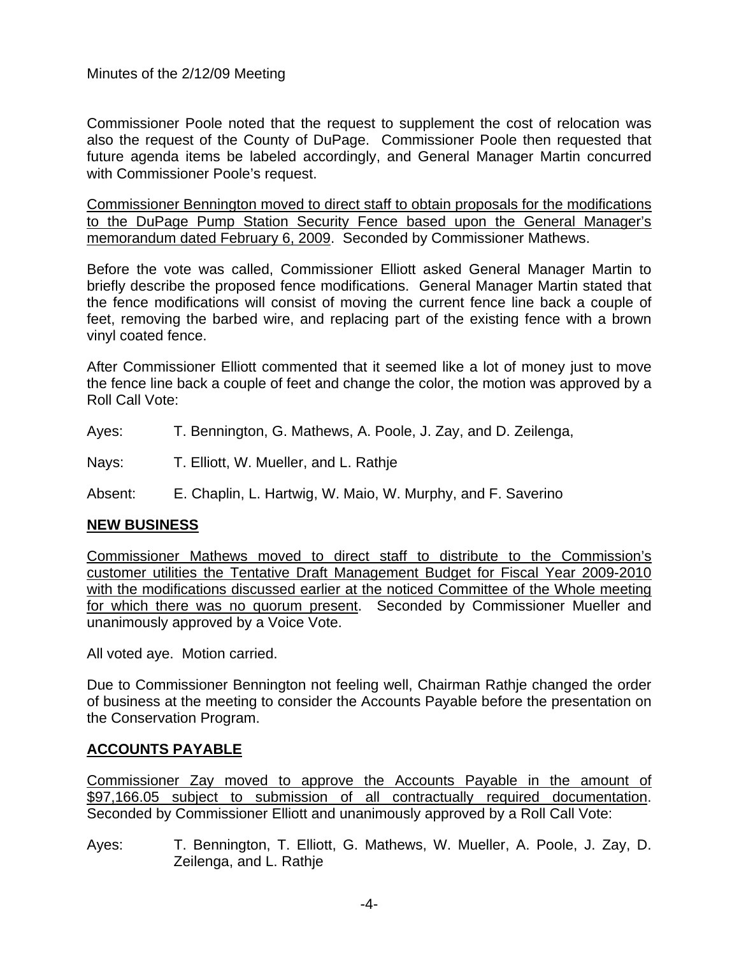Commissioner Poole noted that the request to supplement the cost of relocation was also the request of the County of DuPage. Commissioner Poole then requested that future agenda items be labeled accordingly, and General Manager Martin concurred with Commissioner Poole's request.

Commissioner Bennington moved to direct staff to obtain proposals for the modifications to the DuPage Pump Station Security Fence based upon the General Manager's memorandum dated February 6, 2009. Seconded by Commissioner Mathews.

Before the vote was called, Commissioner Elliott asked General Manager Martin to briefly describe the proposed fence modifications. General Manager Martin stated that the fence modifications will consist of moving the current fence line back a couple of feet, removing the barbed wire, and replacing part of the existing fence with a brown vinyl coated fence.

After Commissioner Elliott commented that it seemed like a lot of money just to move the fence line back a couple of feet and change the color, the motion was approved by a Roll Call Vote:

Ayes: T. Bennington, G. Mathews, A. Poole, J. Zay, and D. Zeilenga,

Nays: T. Elliott, W. Mueller, and L. Rathie

Absent: E. Chaplin, L. Hartwig, W. Maio, W. Murphy, and F. Saverino

## **NEW BUSINESS**

Commissioner Mathews moved to direct staff to distribute to the Commission's customer utilities the Tentative Draft Management Budget for Fiscal Year 2009-2010 with the modifications discussed earlier at the noticed Committee of the Whole meeting for which there was no quorum present. Seconded by Commissioner Mueller and unanimously approved by a Voice Vote.

All voted aye. Motion carried.

Due to Commissioner Bennington not feeling well, Chairman Rathje changed the order of business at the meeting to consider the Accounts Payable before the presentation on the Conservation Program.

## **ACCOUNTS PAYABLE**

Commissioner Zay moved to approve the Accounts Payable in the amount of \$97,166.05 subject to submission of all contractually required documentation. Seconded by Commissioner Elliott and unanimously approved by a Roll Call Vote:

Ayes: T. Bennington, T. Elliott, G. Mathews, W. Mueller, A. Poole, J. Zay, D. Zeilenga, and L. Rathje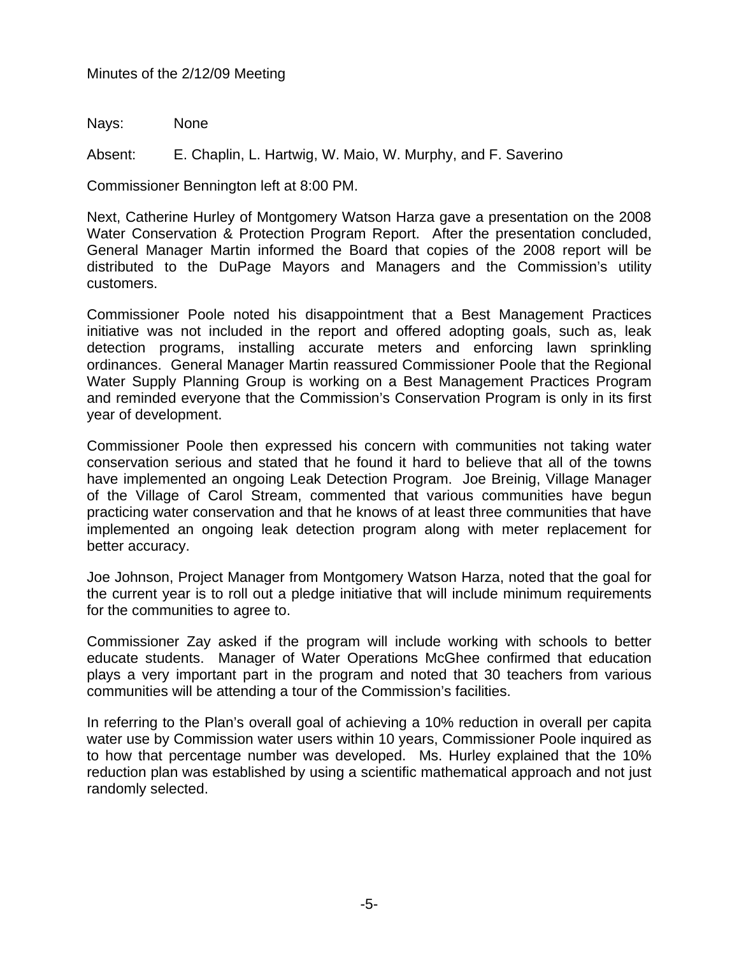Nays: None

Absent: E. Chaplin, L. Hartwig, W. Maio, W. Murphy, and F. Saverino

Commissioner Bennington left at 8:00 PM.

Next, Catherine Hurley of Montgomery Watson Harza gave a presentation on the 2008 Water Conservation & Protection Program Report. After the presentation concluded, General Manager Martin informed the Board that copies of the 2008 report will be distributed to the DuPage Mayors and Managers and the Commission's utility customers.

Commissioner Poole noted his disappointment that a Best Management Practices initiative was not included in the report and offered adopting goals, such as, leak detection programs, installing accurate meters and enforcing lawn sprinkling ordinances. General Manager Martin reassured Commissioner Poole that the Regional Water Supply Planning Group is working on a Best Management Practices Program and reminded everyone that the Commission's Conservation Program is only in its first year of development.

Commissioner Poole then expressed his concern with communities not taking water conservation serious and stated that he found it hard to believe that all of the towns have implemented an ongoing Leak Detection Program. Joe Breinig, Village Manager of the Village of Carol Stream, commented that various communities have begun practicing water conservation and that he knows of at least three communities that have implemented an ongoing leak detection program along with meter replacement for better accuracy.

Joe Johnson, Project Manager from Montgomery Watson Harza, noted that the goal for the current year is to roll out a pledge initiative that will include minimum requirements for the communities to agree to.

Commissioner Zay asked if the program will include working with schools to better educate students. Manager of Water Operations McGhee confirmed that education plays a very important part in the program and noted that 30 teachers from various communities will be attending a tour of the Commission's facilities.

In referring to the Plan's overall goal of achieving a 10% reduction in overall per capita water use by Commission water users within 10 years, Commissioner Poole inquired as to how that percentage number was developed. Ms. Hurley explained that the 10% reduction plan was established by using a scientific mathematical approach and not just randomly selected.